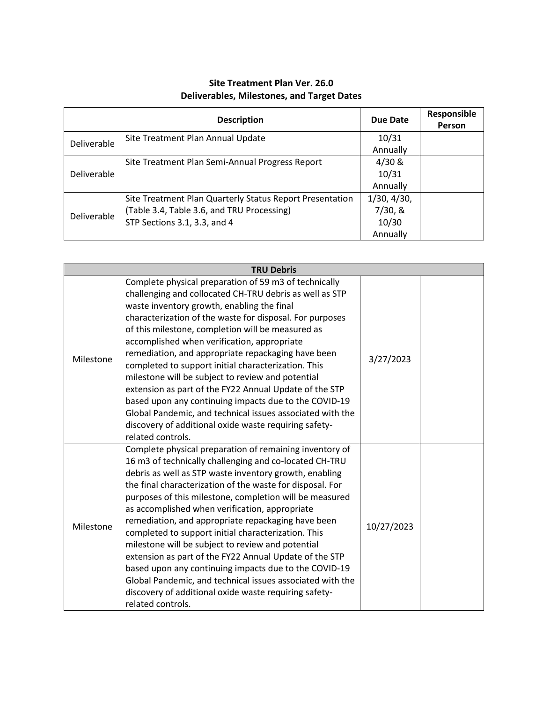## **Site Treatment Plan Ver. 26.0 Deliverables, Milestones, and Target Dates**

|             | <b>Description</b>                                       | <b>Due Date</b> | Responsible<br>Person |
|-------------|----------------------------------------------------------|-----------------|-----------------------|
| Deliverable | Site Treatment Plan Annual Update                        | 10/31           |                       |
|             |                                                          | Annually        |                       |
|             | Site Treatment Plan Semi-Annual Progress Report          | 4/30 &          |                       |
| Deliverable |                                                          | 10/31           |                       |
|             |                                                          | Annually        |                       |
| Deliverable | Site Treatment Plan Quarterly Status Report Presentation | 1/30, 4/30,     |                       |
|             | (Table 3.4, Table 3.6, and TRU Processing)               | 7/30, 8         |                       |
|             | STP Sections 3.1, 3.3, and 4                             | 10/30           |                       |
|             |                                                          | Annually        |                       |

| <b>TRU Debris</b> |                                                                                                                                                                                                                                                                                                                                                                                                                                                                                                                                                                                                                                                                                                                                                                                       |            |  |
|-------------------|---------------------------------------------------------------------------------------------------------------------------------------------------------------------------------------------------------------------------------------------------------------------------------------------------------------------------------------------------------------------------------------------------------------------------------------------------------------------------------------------------------------------------------------------------------------------------------------------------------------------------------------------------------------------------------------------------------------------------------------------------------------------------------------|------------|--|
| Milestone         | Complete physical preparation of 59 m3 of technically<br>challenging and collocated CH-TRU debris as well as STP<br>waste inventory growth, enabling the final<br>characterization of the waste for disposal. For purposes<br>of this milestone, completion will be measured as<br>accomplished when verification, appropriate<br>remediation, and appropriate repackaging have been<br>completed to support initial characterization. This<br>milestone will be subject to review and potential<br>extension as part of the FY22 Annual Update of the STP<br>based upon any continuing impacts due to the COVID-19<br>Global Pandemic, and technical issues associated with the<br>discovery of additional oxide waste requiring safety-<br>related controls.                        | 3/27/2023  |  |
| Milestone         | Complete physical preparation of remaining inventory of<br>16 m3 of technically challenging and co-located CH-TRU<br>debris as well as STP waste inventory growth, enabling<br>the final characterization of the waste for disposal. For<br>purposes of this milestone, completion will be measured<br>as accomplished when verification, appropriate<br>remediation, and appropriate repackaging have been<br>completed to support initial characterization. This<br>milestone will be subject to review and potential<br>extension as part of the FY22 Annual Update of the STP<br>based upon any continuing impacts due to the COVID-19<br>Global Pandemic, and technical issues associated with the<br>discovery of additional oxide waste requiring safety-<br>related controls. | 10/27/2023 |  |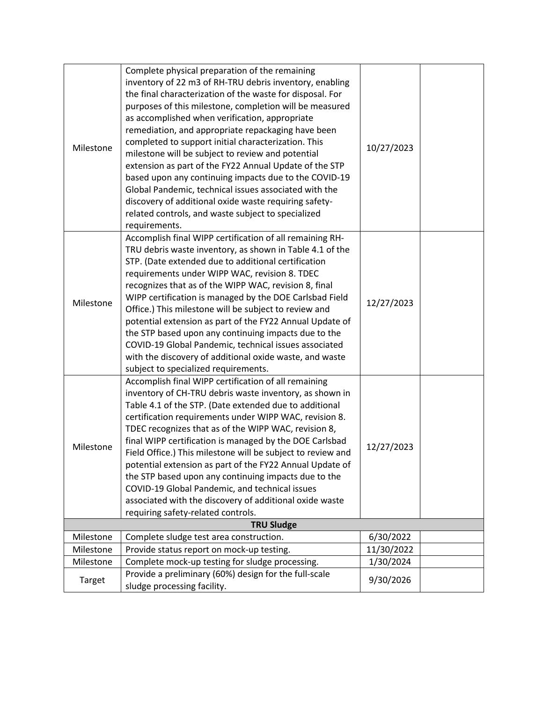| Milestone         | Complete physical preparation of the remaining<br>inventory of 22 m3 of RH-TRU debris inventory, enabling<br>the final characterization of the waste for disposal. For<br>purposes of this milestone, completion will be measured<br>as accomplished when verification, appropriate<br>remediation, and appropriate repackaging have been<br>completed to support initial characterization. This<br>milestone will be subject to review and potential<br>extension as part of the FY22 Annual Update of the STP<br>based upon any continuing impacts due to the COVID-19<br>Global Pandemic, technical issues associated with the<br>discovery of additional oxide waste requiring safety-<br>related controls, and waste subject to specialized<br>requirements. | 10/27/2023 |  |
|-------------------|-------------------------------------------------------------------------------------------------------------------------------------------------------------------------------------------------------------------------------------------------------------------------------------------------------------------------------------------------------------------------------------------------------------------------------------------------------------------------------------------------------------------------------------------------------------------------------------------------------------------------------------------------------------------------------------------------------------------------------------------------------------------|------------|--|
| Milestone         | Accomplish final WIPP certification of all remaining RH-<br>TRU debris waste inventory, as shown in Table 4.1 of the<br>STP. (Date extended due to additional certification<br>requirements under WIPP WAC, revision 8. TDEC<br>recognizes that as of the WIPP WAC, revision 8, final<br>WIPP certification is managed by the DOE Carlsbad Field<br>Office.) This milestone will be subject to review and<br>potential extension as part of the FY22 Annual Update of<br>the STP based upon any continuing impacts due to the<br>COVID-19 Global Pandemic, technical issues associated<br>with the discovery of additional oxide waste, and waste<br>subject to specialized requirements.                                                                         | 12/27/2023 |  |
| Milestone         | Accomplish final WIPP certification of all remaining<br>inventory of CH-TRU debris waste inventory, as shown in<br>Table 4.1 of the STP. (Date extended due to additional<br>certification requirements under WIPP WAC, revision 8.<br>TDEC recognizes that as of the WIPP WAC, revision 8,<br>final WIPP certification is managed by the DOE Carlsbad<br>Field Office.) This milestone will be subject to review and<br>potential extension as part of the FY22 Annual Update of<br>the STP based upon any continuing impacts due to the<br>COVID-19 Global Pandemic, and technical issues<br>associated with the discovery of additional oxide waste<br>requiring safety-related controls.                                                                      | 12/27/2023 |  |
| <b>TRU Sludge</b> |                                                                                                                                                                                                                                                                                                                                                                                                                                                                                                                                                                                                                                                                                                                                                                   |            |  |
| Milestone         | Complete sludge test area construction.                                                                                                                                                                                                                                                                                                                                                                                                                                                                                                                                                                                                                                                                                                                           | 6/30/2022  |  |
| Milestone         | Provide status report on mock-up testing.                                                                                                                                                                                                                                                                                                                                                                                                                                                                                                                                                                                                                                                                                                                         | 11/30/2022 |  |
| Milestone         | Complete mock-up testing for sludge processing.                                                                                                                                                                                                                                                                                                                                                                                                                                                                                                                                                                                                                                                                                                                   | 1/30/2024  |  |
| Target            | Provide a preliminary (60%) design for the full-scale<br>sludge processing facility.                                                                                                                                                                                                                                                                                                                                                                                                                                                                                                                                                                                                                                                                              | 9/30/2026  |  |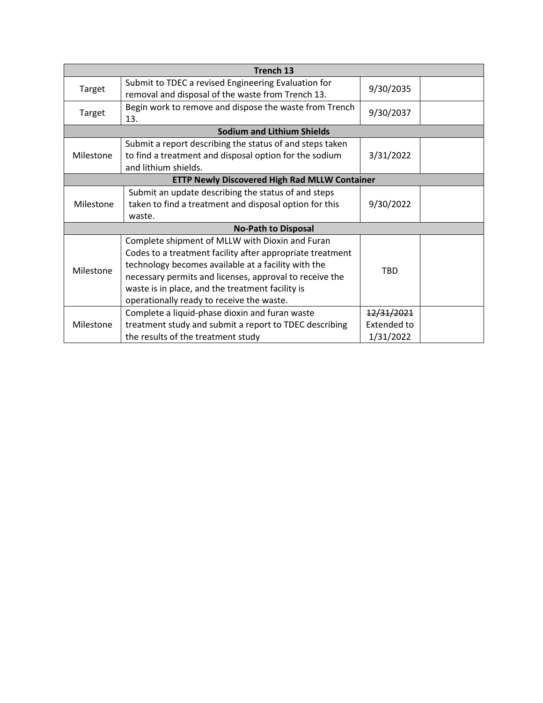| Trench 13                                            |                                                                                                                                                                                                                                                                                                                                 |                                        |  |  |
|------------------------------------------------------|---------------------------------------------------------------------------------------------------------------------------------------------------------------------------------------------------------------------------------------------------------------------------------------------------------------------------------|----------------------------------------|--|--|
| Target                                               | Submit to TDEC a revised Engineering Evaluation for<br>removal and disposal of the waste from Trench 13.                                                                                                                                                                                                                        | 9/30/2035                              |  |  |
| Target                                               | Begin work to remove and dispose the waste from Trench<br>13.                                                                                                                                                                                                                                                                   | 9/30/2037                              |  |  |
|                                                      | <b>Sodium and Lithium Shields</b>                                                                                                                                                                                                                                                                                               |                                        |  |  |
| Milestone                                            | Submit a report describing the status of and steps taken<br>to find a treatment and disposal option for the sodium<br>and lithium shields.                                                                                                                                                                                      | 3/31/2022                              |  |  |
| <b>ETTP Newly Discovered High Rad MLLW Container</b> |                                                                                                                                                                                                                                                                                                                                 |                                        |  |  |
| Milestone                                            | Submit an update describing the status of and steps<br>taken to find a treatment and disposal option for this<br>waste.                                                                                                                                                                                                         | 9/30/2022                              |  |  |
|                                                      | <b>No-Path to Disposal</b>                                                                                                                                                                                                                                                                                                      |                                        |  |  |
| Milestone                                            | Complete shipment of MLLW with Dioxin and Furan<br>Codes to a treatment facility after appropriate treatment<br>technology becomes available at a facility with the<br>necessary permits and licenses, approval to receive the<br>waste is in place, and the treatment facility is<br>operationally ready to receive the waste. | <b>TBD</b>                             |  |  |
| Milestone                                            | Complete a liquid-phase dioxin and furan waste<br>treatment study and submit a report to TDEC describing<br>the results of the treatment study                                                                                                                                                                                  | 12/31/2021<br>Extended to<br>1/31/2022 |  |  |